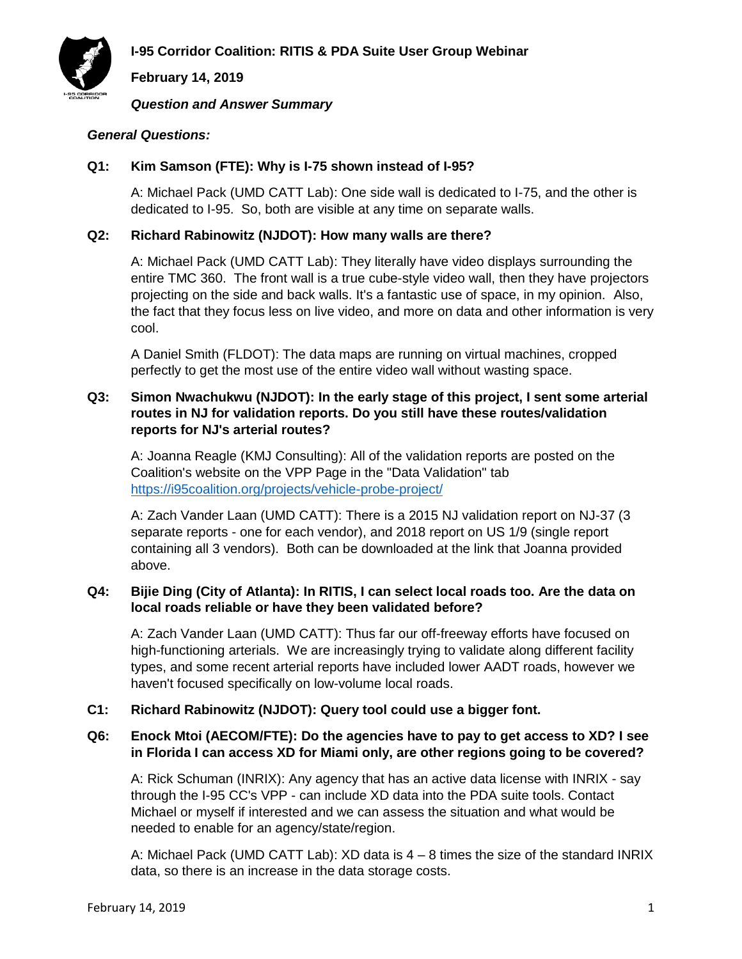



**February 14, 2019**

*Question and Answer Summary*

## *General Questions:*

#### **Q1: Kim Samson (FTE): Why is I-75 shown instead of I-95?**

A: Michael Pack (UMD CATT Lab): One side wall is dedicated to I-75, and the other is dedicated to I-95. So, both are visible at any time on separate walls.

#### **Q2: Richard Rabinowitz (NJDOT): How many walls are there?**

A: Michael Pack (UMD CATT Lab): They literally have video displays surrounding the entire TMC 360. The front wall is a true cube-style video wall, then they have projectors projecting on the side and back walls. It's a fantastic use of space, in my opinion. Also, the fact that they focus less on live video, and more on data and other information is very cool.

A Daniel Smith (FLDOT): The data maps are running on virtual machines, cropped perfectly to get the most use of the entire video wall without wasting space.

## **Q3: Simon Nwachukwu (NJDOT): In the early stage of this project, I sent some arterial routes in NJ for validation reports. Do you still have these routes/validation reports for NJ's arterial routes?**

A: Joanna Reagle (KMJ Consulting): All of the validation reports are posted on the Coalition's website on the VPP Page in the "Data Validation" tab <https://i95coalition.org/projects/vehicle-probe-project/>

A: Zach Vander Laan (UMD CATT): There is a 2015 NJ validation report on NJ-37 (3 separate reports - one for each vendor), and 2018 report on US 1/9 (single report containing all 3 vendors). Both can be downloaded at the link that Joanna provided above.

## **Q4: Bijie Ding (City of Atlanta): In RITIS, I can select local roads too. Are the data on local roads reliable or have they been validated before?**

A: Zach Vander Laan (UMD CATT): Thus far our off-freeway efforts have focused on high-functioning arterials. We are increasingly trying to validate along different facility types, and some recent arterial reports have included lower AADT roads, however we haven't focused specifically on low-volume local roads.

## **C1: Richard Rabinowitz (NJDOT): Query tool could use a bigger font.**

## **Q6: Enock Mtoi (AECOM/FTE): Do the agencies have to pay to get access to XD? I see in Florida I can access XD for Miami only, are other regions going to be covered?**

A: Rick Schuman (INRIX): Any agency that has an active data license with INRIX - say through the I-95 CC's VPP - can include XD data into the PDA suite tools. Contact Michael or myself if interested and we can assess the situation and what would be needed to enable for an agency/state/region.

A: Michael Pack (UMD CATT Lab): XD data is 4 – 8 times the size of the standard INRIX data, so there is an increase in the data storage costs.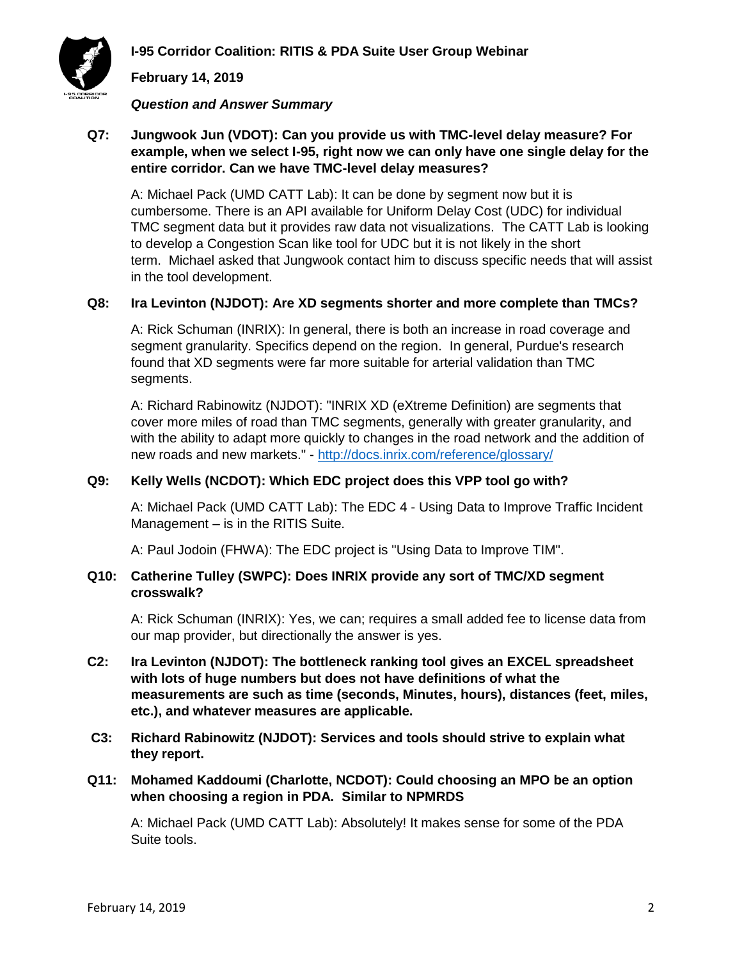

**I-95 Corridor Coalition: RITIS & PDA Suite User Group Webinar**

## **February 14, 2019**

#### *Question and Answer Summary*

## **Q7: Jungwook Jun (VDOT): Can you provide us with TMC-level delay measure? For example, when we select I-95, right now we can only have one single delay for the entire corridor. Can we have TMC-level delay measures?**

A: Michael Pack (UMD CATT Lab): It can be done by segment now but it is cumbersome. There is an API available for Uniform Delay Cost (UDC) for individual TMC segment data but it provides raw data not visualizations. The CATT Lab is looking to develop a Congestion Scan like tool for UDC but it is not likely in the short term. Michael asked that Jungwook contact him to discuss specific needs that will assist in the tool development.

## **Q8: Ira Levinton (NJDOT): Are XD segments shorter and more complete than TMCs?**

A: Rick Schuman (INRIX): In general, there is both an increase in road coverage and segment granularity. Specifics depend on the region. In general, Purdue's research found that XD segments were far more suitable for arterial validation than TMC segments.

A: Richard Rabinowitz (NJDOT): "INRIX XD (eXtreme Definition) are segments that cover more miles of road than TMC segments, generally with greater granularity, and with the ability to adapt more quickly to changes in the road network and the addition of new roads and new markets." - <http://docs.inrix.com/reference/glossary/>

#### **Q9: Kelly Wells (NCDOT): Which EDC project does this VPP tool go with?**

A: Michael Pack (UMD CATT Lab): The EDC 4 - Using Data to Improve Traffic Incident Management – is in the RITIS Suite.

A: Paul Jodoin (FHWA): The EDC project is "Using Data to Improve TIM".

#### **Q10: Catherine Tulley (SWPC): Does INRIX provide any sort of TMC/XD segment crosswalk?**

A: Rick Schuman (INRIX): Yes, we can; requires a small added fee to license data from our map provider, but directionally the answer is yes.

- **C2: Ira Levinton (NJDOT): The bottleneck ranking tool gives an EXCEL spreadsheet with lots of huge numbers but does not have definitions of what the measurements are such as time (seconds, Minutes, hours), distances (feet, miles, etc.), and whatever measures are applicable.**
- **C3: Richard Rabinowitz (NJDOT): Services and tools should strive to explain what they report.**

# **Q11: Mohamed Kaddoumi (Charlotte, NCDOT): Could choosing an MPO be an option when choosing a region in PDA. Similar to NPMRDS**

A: Michael Pack (UMD CATT Lab): Absolutely! It makes sense for some of the PDA Suite tools.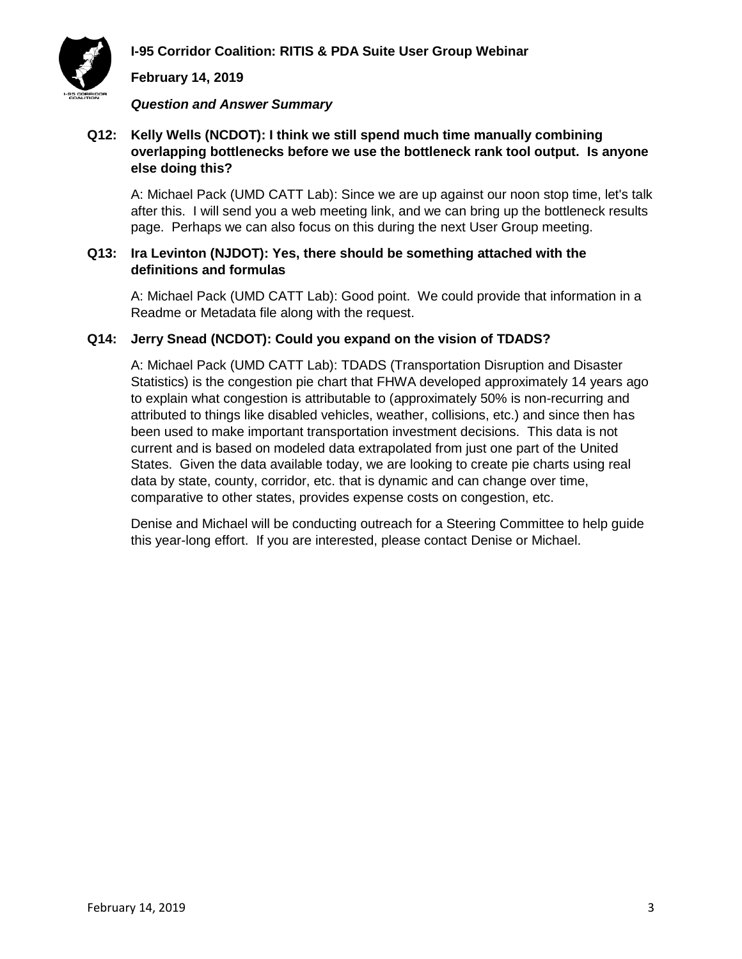**I-95 Corridor Coalition: RITIS & PDA Suite User Group Webinar**



**February 14, 2019**

*Question and Answer Summary*

## **Q12: Kelly Wells (NCDOT): I think we still spend much time manually combining overlapping bottlenecks before we use the bottleneck rank tool output. Is anyone else doing this?**

A: Michael Pack (UMD CATT Lab): Since we are up against our noon stop time, let's talk after this. I will send you a web meeting link, and we can bring up the bottleneck results page. Perhaps we can also focus on this during the next User Group meeting.

# **Q13: Ira Levinton (NJDOT): Yes, there should be something attached with the definitions and formulas**

A: Michael Pack (UMD CATT Lab): Good point. We could provide that information in a Readme or Metadata file along with the request.

## **Q14: Jerry Snead (NCDOT): Could you expand on the vision of TDADS?**

A: Michael Pack (UMD CATT Lab): TDADS (Transportation Disruption and Disaster Statistics) is the congestion pie chart that FHWA developed approximately 14 years ago to explain what congestion is attributable to (approximately 50% is non-recurring and attributed to things like disabled vehicles, weather, collisions, etc.) and since then has been used to make important transportation investment decisions. This data is not current and is based on modeled data extrapolated from just one part of the United States. Given the data available today, we are looking to create pie charts using real data by state, county, corridor, etc. that is dynamic and can change over time, comparative to other states, provides expense costs on congestion, etc.

Denise and Michael will be conducting outreach for a Steering Committee to help guide this year-long effort. If you are interested, please contact Denise or Michael.